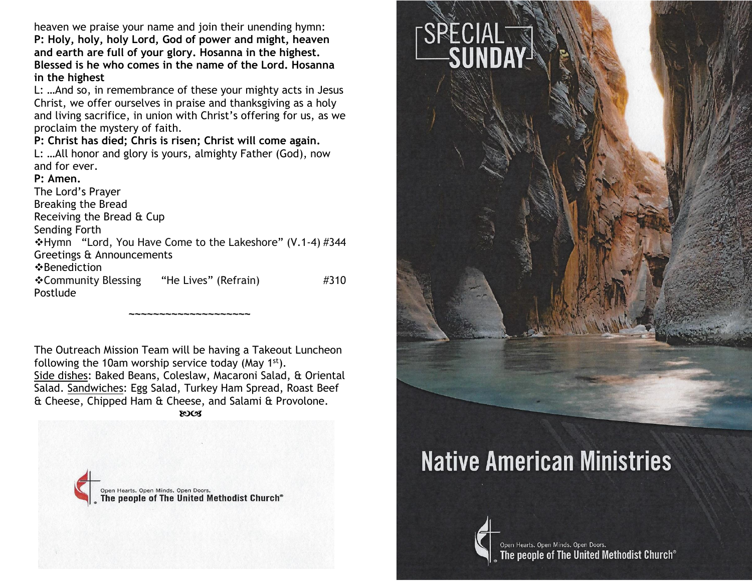heaven we praise your name and join their unending hymn: **P: Holy, holy, holy Lord, God of power and might, heaven and earth are full of your glory. Hosanna in the highest. Blessed is he who comes in the name of the Lord. Hosanna in the highest**

L: …And so, in remembrance of these your mighty acts in Jesus Christ, we offer ourselves in praise and thanksgiving as a holy and living sacrifice, in union with Christ's offering for us, as we proclaim the mystery of faith.

**P: Christ has died; Chris is risen; Christ will come again.**

L: …All honor and glory is yours, almighty Father (God), now and for ever.

#### **P: Amen.**

The Lord's Prayer Breaking the Bread Receiving the Bread & Cup Sending Forth ❖Hymn "Lord, You Have Come to the Lakeshore" (V.1-4) #344 Greetings & Announcements ❖Benediction ❖Community Blessing "He Lives" (Refrain) #310 Postlude

The Outreach Mission Team will be having a Takeout Luncheon following the 10am worship service today (May 1st). Side dishes: Baked Beans, Coleslaw, Macaroni Salad, & Oriental Salad. Sandwiches: Egg Salad, Turkey Ham Spread, Roast Beef & Cheese, Chipped Ham & Cheese, and Salami & Provolone. **ROCS** 

**~~~~~~~~~~~~~~~~~~~~**





# **Native American Ministries**

![](_page_0_Picture_10.jpeg)

Open Hearts. Open Minds. Open Doors. people of The United Methodist Church®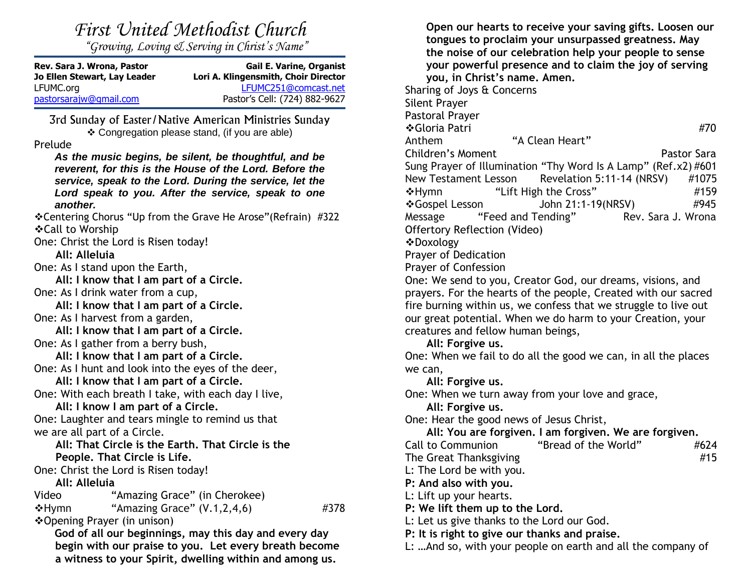| First United Methodist Church |
|-------------------------------|
|                               |

*"Growing, Loving & Serving in Christ's Name"*

| Rev. Sara J. Wrona, Pastor<br>Jo Ellen Stewart, Lay Leader | <b>Gail E. Varine, Organist</b><br>Lori A. Klingensmith, Choir Director |
|------------------------------------------------------------|-------------------------------------------------------------------------|
| LFUMC.org                                                  | LFUMC251@comcast.net                                                    |
| pastorsarajw@gmail.com                                     | Pastor's Cell: (724) 882-9627                                           |

3rd Sunday of Easter/Native American Ministries Sunday ❖ Congregation please stand, (if you are able)

#### Prelude

*As the music begins, be silent, be thoughtful, and be reverent, for this is the House of the Lord. Before the service, speak to the Lord. During the service, let the Lord speak to you. After the service, speak to one another.*

❖Centering Chorus "Up from the Grave He Arose"(Refrain) #322 ❖Call to Worship

One: Christ the Lord is Risen today!

**All: Alleluia**

One: As I stand upon the Earth,

**All: I know that I am part of a Circle.**

One: As I drink water from a cup,

**All: I know that I am part of a Circle.**

One: As I harvest from a garden,

**All: I know that I am part of a Circle.**

One: As I gather from a berry bush,

**All: I know that I am part of a Circle.** One: As I hunt and look into the eyes of the deer,

**All: I know that I am part of a Circle.** One: With each breath I take, with each day I live,

**All: I know I am part of a Circle.**

One: Laughter and tears mingle to remind us that we are all part of a Circle.

#### **All: That Circle is the Earth. That Circle is the People. That Circle is Life.**

One: Christ the Lord is Risen today!

**All: Alleluia**

Video "Amazing Grace" (in Cherokee)  $\div$ Hymn "Amazing Grace" (V.1,2,4,6) #378

❖Opening Prayer (in unison)

**God of all our beginnings, may this day and every day begin with our praise to you. Let every breath become a witness to your Spirit, dwelling within and among us.** 

**Open our hearts to receive your saving gifts. Loosen our tongues to proclaim your unsurpassed greatness. May the noise of our celebration help your people to sense your powerful presence and to claim the joy of serving you, in Christ's name. Amen.**

Sharing of Joys & Concerns Silent Prayer

Pastoral Prayer

❖Gloria Patri #70

Anthem "A Clean Heart" Children's Moment **Pastor Sara** Sung Prayer of Illumination "Thy Word Is A Lamp" (Ref.x2) #601 New Testament Lesson Revelation 5:11-14 (NRSV) #1075 ◆Hymn "Lift High the Cross" #159 ❖Gospel Lesson John 21:1-19(NRSV) #945 Message "Feed and Tending" Rev. Sara J. Wrona

Offertory Reflection (Video)

❖Doxology

Prayer of Dedication

Prayer of Confession

One: We send to you, Creator God, our dreams, visions, and prayers. For the hearts of the people, Created with our sacred fire burning within us, we confess that we struggle to live out our great potential. When we do harm to your Creation, your creatures and fellow human beings,

**All: Forgive us.**

One: When we fail to do all the good we can, in all the places we can,

**All: Forgive us.**

One: When we turn away from your love and grace,

#### **All: Forgive us.**

One: Hear the good news of Jesus Christ,

**All: You are forgiven. I am forgiven. We are forgiven.**

Call to Communion "Bread of the World" #624

The Great Thanksgiving #15

L: The Lord be with you.

**P: And also with you.**

L: Lift up your hearts.

**P: We lift them up to the Lord.**

L: Let us give thanks to the Lord our God.

**P: It is right to give our thanks and praise.**

L: …And so, with your people on earth and all the company of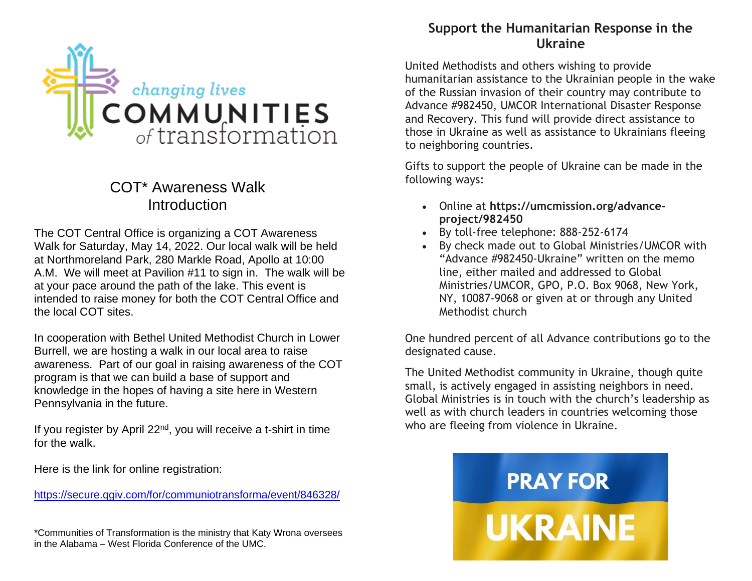![](_page_2_Picture_0.jpeg)

## COT\* Awareness Walk **Introduction**

The COT Central Office is organizing a COT Awareness Walk for Saturday, May 14, 2022. Our local walk will be held at Northmoreland Park, 280 Markle Road, Apollo at 10:00 A.M. We will meet at Pavilion #11 to sign in. The walk will be at your pace around the path of the lake. This event is intended to raise money for both the COT Central Office and the local COT sites.

In cooperation with Bethel United Methodist Church in Lower Burrell, we are hosting a walk in our local area to raise awareness. Part of our goal in raising awareness of the COT program is that we can build a base of support and knowledge in the hopes of having a site here in Western Pennsylvania in the future.

If you register by April 22<sup>nd</sup>, you will receive a t-shirt in time for the walk.

Here is the link for online registration:

https://secure.ggiv.com/for/communiotransforma/event/846328/

\*Communities of Transformation is the ministry that Katy Wrona oversees in the Alabama – West Florida Conference of the UMC.

## **Support the Humanitarian Response in the Ukraine**

United Methodists and others wishing to provide humanitarian assistance to the Ukrainian people in the wake of the Russian invasion of their country may contribute to Advance #982450, UMCOR International Disaster Response and Recovery. This fund will provide direct assistance to those in Ukraine as well as assistance to Ukrainians fleeing to neighboring countries.

Gifts to support the people of Ukraine can be made in the following ways:

- Online at **[https://umcmission.org/advance](https://umcmission.org/advance-project/982450)[project/982450](https://umcmission.org/advance-project/982450)**
- By toll-free telephone: 888-252-6174
- By check made out to Global Ministries/UMCOR with "Advance #982450-Ukraine" written on the memo line, either mailed and addressed to Global Ministries/UMCOR, GPO, P.O. Box 9068, New York, NY, 10087-9068 or given at or through any United Methodist church

One hundred percent of all Advance contributions go to the designated cause.

The United Methodist community in Ukraine, though quite small, is actively engaged in assisting neighbors in need. Global Ministries is in touch with the church's leadership as well as with church leaders in countries welcoming those who are fleeing from violence in Ukraine.

![](_page_2_Picture_16.jpeg)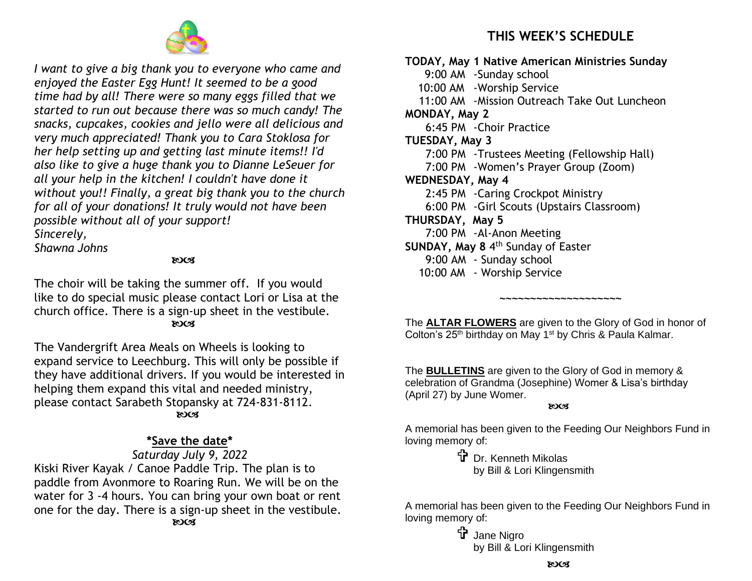![](_page_3_Picture_0.jpeg)

*I want to give a big thank you to everyone who came and enjoyed the Easter Egg Hunt! It seemed to be a good time had by all! There were so many eggs filled that we started to run out because there was so much candy! The snacks, cupcakes, cookies and jello were all delicious and very much appreciated! Thank you to Cara Stoklosa for her help setting up and getting last minute items!! I'd also like to give a huge thank you to Dianne LeSeuer for all your help in the kitchen! I couldn't have done it without you!! Finally, a great big thank you to the church for all of your donations! It truly would not have been possible without all of your support! Sincerely,*

*Shawna Johns*

**ROCK** 

The choir will be taking the summer off. If you would like to do special music please contact Lori or Lisa at the church office. There is a sign-up sheet in the vestibule. **ROCK** 

The Vandergrift Area Meals on Wheels is looking to expand service to Leechburg. This will only be possible if they have additional drivers. If you would be interested in helping them expand this vital and needed ministry, please contact Sarabeth Stopansky at 724-831-8112. **ROCS** 

### **\*Save the date\***

#### *Saturday July 9, 2022*

Kiski River Kayak / Canoe Paddle Trip. The plan is to paddle from Avonmore to Roaring Run. We will be on the water for 3 -4 hours. You can bring your own boat or rent one for the day. There is a sign-up sheet in the vestibule. **ROCS** 

## **THIS WEEK'S SCHEDULE**

**TODAY, May 1 Native American Ministries Sunday** 9:00 AM -Sunday school 10:00 AM -Worship Service 11:00 AM -Mission Outreach Take Out Luncheon **MONDAY, May 2** 6:45 PM -Choir Practice **TUESDAY, May 3** 7:00 PM -Trustees Meeting (Fellowship Hall) 7:00 PM -Women's Prayer Group (Zoom) **WEDNESDAY, May 4**  2:45 PM -Caring Crockpot Ministry 6:00 PM -Girl Scouts (Upstairs Classroom) **THURSDAY, May 5**  7:00 PM -Al-Anon Meeting **SUNDAY, May 8** 4 th Sunday of Easter 9:00 AM - Sunday school 10:00 AM - Worship Service

The **ALTAR FLOWERS** are given to the Glory of God in honor of Colton's 25<sup>th</sup> birthday on May 1<sup>st</sup> by Chris & Paula Kalmar.

**~~~~~~~~~~~~~~~~~~~~**

The **BULLETINS** are given to the Glory of God in memory & celebration of Grandma (Josephine) Womer & Lisa's birthday (April 27) by June Womer.

**ROCS** 

A memorial has been given to the Feeding Our Neighbors Fund in loving memory of:

> **T** Dr. Kenneth Mikolas by Bill & Lori Klingensmith

A memorial has been given to the Feeding Our Neighbors Fund in loving memory of:

> t Jane Nigro by Bill & Lori Klingensmith